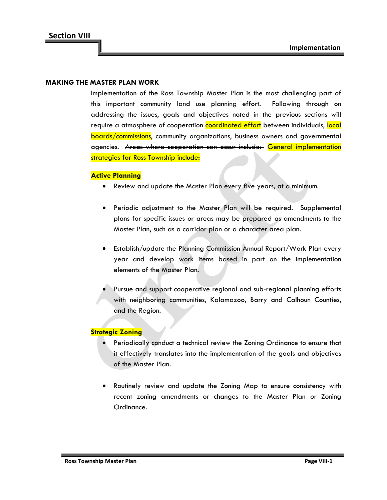### **MAKING THE MASTER PLAN WORK**

Implementation of the Ross Township Master Plan is the most challenging part of this important community land use planning effort. Following through on addressing the issues, goals and objectives noted in the previous sections will require a atmosphere of cooperation coordinated effort between individuals, local boards/commissions, community organizations, business owners and governmental agencies. Areas where cooperation can occur include: General implementation strategies for Ross Township include:

#### **Active Planning**

- Review and update the Master Plan every five years, at a minimum.
- Periodic adjustment to the Master Plan will be required. Supplemental plans for specific issues or areas may be prepared as amendments to the Master Plan, such as a corridor plan or a character area plan.
- Establish/update the Planning Commission Annual Report/Work Plan every year and develop work items based in part on the implementation elements of the Master Plan.
- Pursue and support cooperative regional and sub-regional planning efforts with neighboring communities, Kalamazoo, Barry and Calhoun Counties, and the Region.

#### **Strategic Zoning**

- Periodically conduct a technical review the Zoning Ordinance to ensure that it effectively translates into the implementation of the goals and objectives of the Master Plan.
- Routinely review and update the Zoning Map to ensure consistency with recent zoning amendments or changes to the Master Plan or Zoning Ordinance.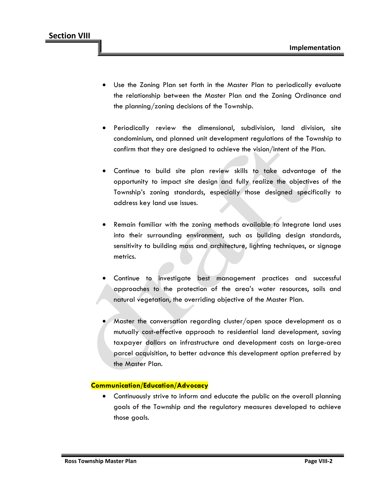- Use the Zoning Plan set forth in the Master Plan to periodically evaluate the relationship between the Master Plan and the Zoning Ordinance and the planning/zoning decisions of the Township.
- Periodically review the dimensional, subdivision, land division, site condominium, and planned unit development regulations of the Township to confirm that they are designed to achieve the vision/intent of the Plan.
- Continue to build site plan review skills to take advantage of the opportunity to impact site design and fully realize the objectives of the Township's zoning standards, especially those designed specifically to address key land use issues.
- Remain familiar with the zoning methods available to Integrate land uses into their surrounding environment, such as building design standards, sensitivity to building mass and architecture, lighting techniques, or signage metrics.
- Continue to investigate best management practices and successful approaches to the protection of the area's water resources, soils and natural vegetation, the overriding objective of the Master Plan.
- Master the conversation regarding cluster/open space development as a mutually cost-effective approach to residential land development, saving taxpayer dollars on infrastructure and development costs on large-area parcel acquisition, to better advance this development option preferred by the Master Plan.

### **Communication/Education/Advocacy**

• Continuously strive to inform and educate the public on the overall planning goals of the Township and the regulatory measures developed to achieve those goals.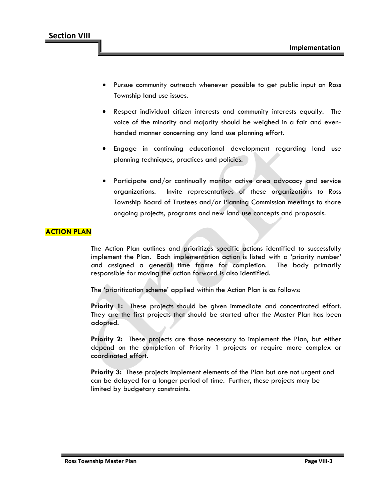- Pursue community outreach whenever possible to get public input on Ross Township land use issues.
- Respect individual citizen interests and community interests equally. The voice of the minority and majority should be weighed in a fair and evenhanded manner concerning any land use planning effort.
- Engage in continuing educational development regarding land use planning techniques, practices and policies.
- Participate and/or continually monitor active area advocacy and service organizations. Invite representatives of these organizations to Ross Township Board of Trustees and/or Planning Commission meetings to share ongoing projects, programs and new land use concepts and proposals.

## **ACTION PLAN**

The Action Plan outlines and prioritizes specific actions identified to successfully implement the Plan. Each implementation action is listed with a 'priority number' and assigned a general time frame for completion. The body primarily responsible for moving the action forward is also identified.

The 'prioritization scheme' applied within the Action Plan is as follows:

**Priority 1:** These projects should be given immediate and concentrated effort. They are the first projects that should be started after the Master Plan has been adopted.

**Priority 2:** These projects are those necessary to implement the Plan, but either depend on the completion of Priority 1 projects or require more complex or coordinated effort.

**Priority 3:** These projects implement elements of the Plan but are not urgent and can be delayed for a longer period of time. Further, these projects may be limited by budgetary constraints.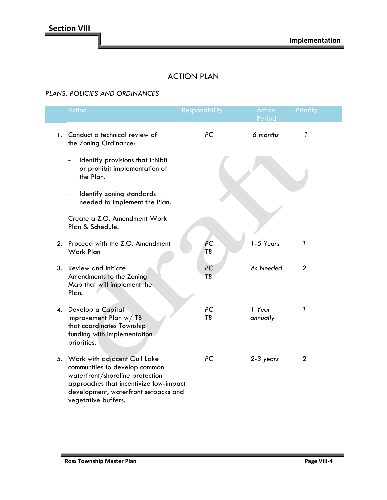# ACTION PLAN

## *PLANS, POLICIES AND ORDINANCES*

| Action                                                                                                                                                                                                       | Responsibility | Action<br>Period   | Priority       |  |
|--------------------------------------------------------------------------------------------------------------------------------------------------------------------------------------------------------------|----------------|--------------------|----------------|--|
| 1. Conduct a technical review of<br>the Zoning Ordinance:                                                                                                                                                    | PC             | 6 months           | 1              |  |
| Identify provisions that inhibit<br>or prohibit implementation of<br>the Plan.                                                                                                                               |                |                    |                |  |
| Identify zoning standards<br>-<br>needed to implement the Plan.                                                                                                                                              |                |                    |                |  |
| Create a Z.O. Amendment Work<br>Plan & Schedule.                                                                                                                                                             |                |                    |                |  |
| 2. Proceed with the Z.O. Amendment<br>Work Plan                                                                                                                                                              | PC<br>TB       | 1-5 Years          | $\mathbf{I}$   |  |
| 3. Review and initiate<br>Amendments to the Zoning<br>Map that will implement the<br>Plan.                                                                                                                   | PC<br>TB       | As Needed          | $\overline{2}$ |  |
| 4. Develop a Capital<br>Improvement Plan w/TB<br>that coordinates Township<br>funding with implementation<br>priorities.                                                                                     | PC<br>TB       | 1 Year<br>annually | 1              |  |
| 5. Work with adjacent Gull Lake<br>communities to develop common<br>waterfront/shoreline protection<br>approaches that incentivize low-impact<br>development, waterfront setbacks and<br>vegetative buffers. | PC             | 2-3 years          | 2              |  |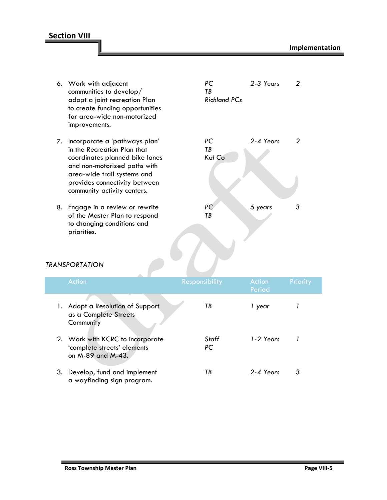## **Section VIII**

6. Work with adjacent *PC 2-3 Years 2* communities to develop/ *TB* adopt a joint recreation Plan to create funding opportunities for area-wide non-motorized improvements. 7. Incorporate a 'pathways plan' *PC 2-4 Years 2* in the Recreation Plan that *TB* coordinates planned bike lanes *Kal Co* and non-motorized paths with area-wide trail systems and provides connectivity between community activity centers. 8. Engage in a review or rewrite *PC 5 years 3* of the Master Plan to respond *TB* to changing conditions and priorities. *TRANSPORTATION* Period 1. Adopt a Resolution of Support *TB 1 year 1* as a Complete Streets **Community** 2. Work with KCRC to incorporate *Staff 1-2 Years 1* 'complete streets' elements *PC* on M-89 and M-43. 3. Develop, fund and implement *TB 2-4 Years 3* a wayfinding sign program.